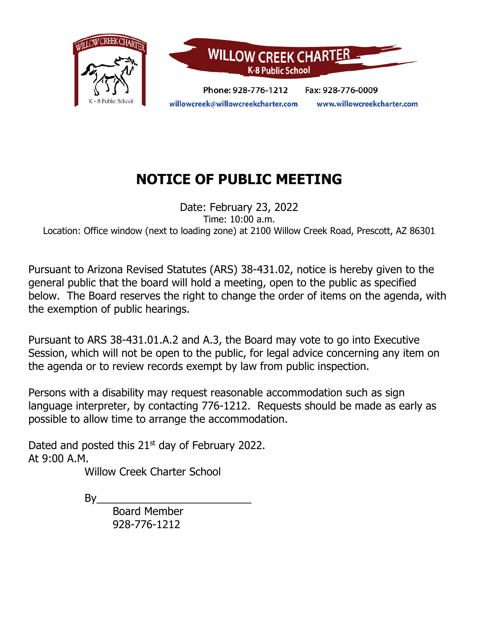

# **NOTICE OF PUBLIC MEETING**

Date: February 23, 2022 Time: 10:00 a.m. Location: Office window (next to loading zone) at 2100 Willow Creek Road, Prescott, AZ 86301

Pursuant to Arizona Revised Statutes (ARS) 38-431.02, notice is hereby given to the general public that the board will hold a meeting, open to the public as specified below. The Board reserves the right to change the order of items on the agenda, with the exemption of public hearings.

Pursuant to ARS 38-431.01.A.2 and A.3, the Board may vote to go into Executive Session, which will not be open to the public, for legal advice concerning any item on the agenda or to review records exempt by law from public inspection.

Persons with a disability may request reasonable accommodation such as sign language interpreter, by contacting 776-1212. Requests should be made as early as possible to allow time to arrange the accommodation.

Dated and posted this  $21<sup>st</sup>$  day of February 2022. At 9:00 A.M.

Willow Creek Charter School

 $By$ 

Board Member 928-776-1212